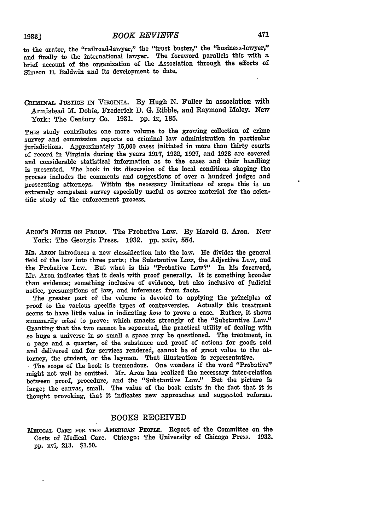to the orator, the "railroad-lawyer," the "trust buster," the "business-lawyer," and finally to the international lawyer. The foreword parallels this with a brief account of the organization of the Association through the efforts of Simeon **E.** Baldwin and its development to date.

## CRIMINAL **JUSTICE IN VIRGINIA. By** Hugh **N.** Fuller in association with Armistead M. Dobie, Frederick **D. G.** Ribble, and Raymond Moley. New York: The Century Co. **1931. pp.** ix, 185.

THIS study contributes one more volume to the growing collection of crime survey and commission reports on criminal law administration in particular jurisdictions. Approximately **15,000** cases initiated in more than thirty courts of record in Virginia during the years **1917,** 1922, 1927, and 1928 are covered and considerable statistical information as to the cases and their handling is presented. The book in its discussion of the local conditions shaping the process includes the comments and suggestions of over a hundred judges and prosecuting attorneys. Within the necessary limitations of scope this is an extremely competent survey especially useful as source material for the scientific study of the enforcement process.

## ARON'S NOTES **ON** PROOF. The Probative Law. **By** Harold **G.** Aron. New York: The Georgic Press. 1932. pp. xxiv, 554.

**MR.** ARON introduces a new classification into the law. He divides the general field of the law into three parts: the Substantive Law, the Adjective Law, **and** the Probative Law. But what is this "Probative Law?" In his foreword, Mr. Aron indicates that it deals with proof generally. It is something broader than evidence; something inclusive of evidence, but also inclusive of judicial notice, presumptions of law, and inferences from facts.

The greater part of the volume is devoted to applying the principles of proof to the various specific types of controversies. Actually this treatment seems to have little value in indicating how to prove a case. Rather, it shows summarily *what* to prove: which smacks strongly of the "Substantive Law." Granting that the two cannot be separated, the practical utility of dealing with so huge a universe in so small a space may be questioned. The treatment, in a page and a quarter, of the substance and proof of actions for goods sold and delivered and for services rendered, cannot be of great value to the attorney, the student, or the layman. That illustration is representative.

**I** The scope of the book is tremendous. One wonders if the word "Probative" might not well be omitted. Mr. Aron has realized the necessary inter-relation between proof, procedure, and the "Substantive Law." But the picture is large; the canvas, small. The value of the book exists in the fact that it is thought provoking, that it indicates new approaches and suggested reforms.

## BOOKS RECEIVED

MEDICAL CARE FOR THE AMERICAN PEOPLE. Report of the Committee on the Costs of Medical Care. Chicago: The University of Chicago Press. **1932. pp.** xvi, **213. \$1.50.**